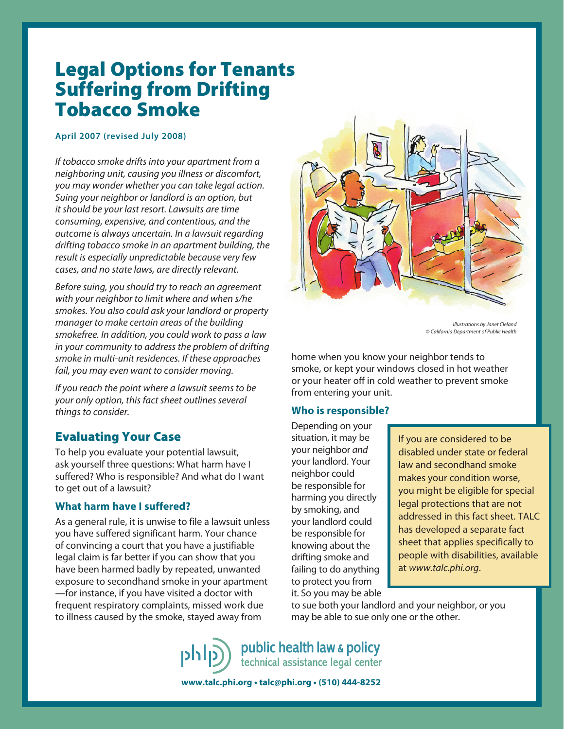# Legal Options for Tenants Suffering from Drifting Tobacco Smoke

#### **April 2007 (revised July 2008)**

If tobacco smoke drifts into your apartment from a neighboring unit, causing you illness or discomfort, you may wonder whether you can take legal action. Suing your neighbor or landlord is an option, but it should be your last resort. Lawsuits are time consuming, expensive, and contentious, and the outcome is always uncertain. In a lawsuit regarding drifting tobacco smoke in an apartment building, the result is especially unpredictable because very few cases, and no state laws, are directly relevant.

Before suing, you should try to reach an agreement with your neighbor to limit where and when s/he smokes. You also could ask your landlord or property manager to make certain areas of the building smokefree. In addition, you could work to pass a law in your community to address the problem of drifting smoke in multi-unit residences. If these approaches fail, you may even want to consider moving.

If you reach the point where a lawsuit seems to be your only option, this fact sheet outlines several things to consider.

## Evaluating Your Case

To help you evaluate your potential lawsuit, ask yourself three questions: What harm have I suffered? Who is responsible? And what do I want to get out of a lawsuit?

## **What harm have I suffered?**

As a general rule, it is unwise to file a lawsuit unless you have suffered significant harm. Your chance of convincing a court that you have a justifiable legal claim is far better if you can show that you have been harmed badly by repeated, unwanted exposure to secondhand smoke in your apartment —for instance, if you have visited a doctor with frequent respiratory complaints, missed work due to illness caused by the smoke, stayed away from



Illustrations by Janet Cleland © California Department of Public Health

home when you know your neighbor tends to smoke, or kept your windows closed in hot weather or your heater off in cold weather to prevent smoke from entering your unit.

## **Who is responsible?**

Depending on your situation, it may be your neighbor and your landlord. Your neighbor could be responsible for harming you directly by smoking, and your landlord could be responsible for knowing about the drifting smoke and failing to do anything to protect you from it. So you may be able

If you are considered to be disabled under state or federal law and secondhand smoke makes your condition worse, you might be eligible for special legal protections that are not addressed in this fact sheet. TALC has developed a separate fact sheet that applies specifically to people with disabilities, available at www.talc.phi.org.

to sue both your landlord and your neighbor, or you may be able to sue only one or the other.

public health law & policy technical assistance legal center

**www.talc.phi.org • talc@phi.org • (510) 444-8252**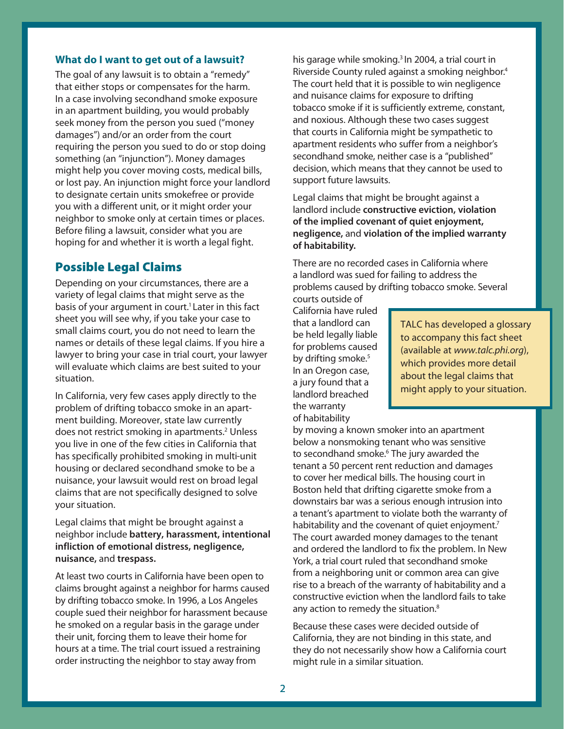#### **What do I want to get out of a lawsuit?**

The goal of any lawsuit is to obtain a "remedy" that either stops or compensates for the harm. In a case involving secondhand smoke exposure in an apartment building, you would probably seek money from the person you sued ("money damages") and/or an order from the court requiring the person you sued to do or stop doing something (an "injunction"). Money damages might help you cover moving costs, medical bills, or lost pay. An injunction might force your landlord to designate certain units smokefree or provide you with a different unit, or it might order your neighbor to smoke only at certain times or places. Before filing a lawsuit, consider what you are hoping for and whether it is worth a legal fight.

## Possible Legal Claims

Depending on your circumstances, there are a variety of legal claims that might serve as the basis of your argument in court.<sup>1</sup> Later in this fact sheet you will see why, if you take your case to small claims court, you do not need to learn the names or details of these legal claims. If you hire a lawyer to bring your case in trial court, your lawyer will evaluate which claims are best suited to your situation.

In California, very few cases apply directly to the problem of drifting tobacco smoke in an apartment building. Moreover, state law currently does not restrict smoking in apartments.<sup>2</sup> Unless you live in one of the few cities in California that has specifically prohibited smoking in multi-unit housing or declared secondhand smoke to be a nuisance, your lawsuit would rest on broad legal claims that are not specifically designed to solve your situation.

Legal claims that might be brought against a neighbor include **battery, harassment, intentional infliction of emotional distress, negligence, nuisance,** and **trespass.**

At least two courts in California have been open to claims brought against a neighbor for harms caused by drifting tobacco smoke. In 1996, a Los Angeles couple sued their neighbor for harassment because he smoked on a regular basis in the garage under their unit, forcing them to leave their home for hours at a time. The trial court issued a restraining order instructing the neighbor to stay away from

his garage while smoking.<sup>3</sup> In 2004, a trial court in Riverside County ruled against a smoking neighbor.4 The court held that it is possible to win negligence and nuisance claims for exposure to drifting tobacco smoke if it is sufficiently extreme, constant, and noxious. Although these two cases suggest that courts in California might be sympathetic to apartment residents who suffer from a neighbor's secondhand smoke, neither case is a "published" decision, which means that they cannot be used to support future lawsuits.

Legal claims that might be brought against a landlord include **constructive eviction, violation of the implied covenant of quiet enjoyment, negligence,** and **violation of the implied warranty of habitability.**

There are no recorded cases in California where a landlord was sued for failing to address the problems caused by drifting tobacco smoke. Several courts outside of

California have ruled that a landlord can be held legally liable for problems caused by drifting smoke.<sup>5</sup> In an Oregon case, a jury found that a landlord breached the warranty of habitability

TALC has developed a glossary to accompany this fact sheet (available at www.talc.phi.org), which provides more detail about the legal claims that might apply to your situation.

by moving a known smoker into an apartment below a nonsmoking tenant who was sensitive to secondhand smoke.6 The jury awarded the tenant a 50 percent rent reduction and damages to cover her medical bills. The housing court in Boston held that drifting cigarette smoke from a downstairs bar was a serious enough intrusion into a tenant's apartment to violate both the warranty of habitability and the covenant of quiet enjoyment.<sup>7</sup> The court awarded money damages to the tenant and ordered the landlord to fix the problem. In New York, a trial court ruled that secondhand smoke from a neighboring unit or common area can give rise to a breach of the warranty of habitability and a constructive eviction when the landlord fails to take any action to remedy the situation.<sup>8</sup>

Because these cases were decided outside of California, they are not binding in this state, and they do not necessarily show how a California court might rule in a similar situation.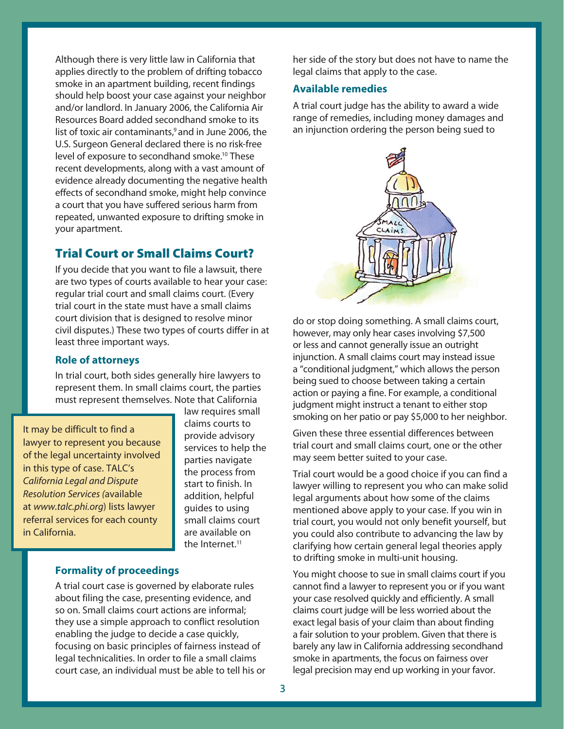Although there is very little law in California that applies directly to the problem of drifting tobacco smoke in an apartment building, recent findings should help boost your case against your neighbor and/or landlord. In January 2006, the California Air Resources Board added secondhand smoke to its list of toxic air contaminants,<sup>9</sup> and in June 2006, the U.S. Surgeon General declared there is no risk-free level of exposure to secondhand smoke.<sup>10</sup> These recent developments, along with a vast amount of evidence already documenting the negative health effects of secondhand smoke, might help convince a court that you have suffered serious harm from repeated, unwanted exposure to drifting smoke in your apartment.

## Trial Court or Small Claims Court?

If you decide that you want to file a lawsuit, there are two types of courts available to hear your case: regular trial court and small claims court. (Every trial court in the state must have a small claims court division that is designed to resolve minor civil disputes.) These two types of courts differ in at least three important ways.

## **Role of attorneys**

In trial court, both sides generally hire lawyers to represent them. In small claims court, the parties must represent themselves. Note that California

It may be difficult to find a lawyer to represent you because of the legal uncertainty involved in this type of case. TALC's California Legal and Dispute Resolution Services (available at www.talc.phi.org) lists lawyer referral services for each county in California.

law requires small claims courts to provide advisory services to help the parties navigate the process from start to finish. In addition, helpful guides to using small claims court are available on the Internet.<sup>11</sup>

### **Formality of proceedings**

A trial court case is governed by elaborate rules about filing the case, presenting evidence, and so on. Small claims court actions are informal; they use a simple approach to conflict resolution enabling the judge to decide a case quickly, focusing on basic principles of fairness instead of legal technicalities. In order to file a small claims court case, an individual must be able to tell his or her side of the story but does not have to name the legal claims that apply to the case.

### **Available remedies**

A trial court judge has the ability to award a wide range of remedies, including money damages and an injunction ordering the person being sued to



do or stop doing something. A small claims court, however, may only hear cases involving \$7,500 or less and cannot generally issue an outright injunction. A small claims court may instead issue a "conditional judgment," which allows the person being sued to choose between taking a certain action or paying a fine. For example, a conditional judgment might instruct a tenant to either stop smoking on her patio or pay \$5,000 to her neighbor.

Given these three essential differences between trial court and small claims court, one or the other may seem better suited to your case.

Trial court would be a good choice if you can find a lawyer willing to represent you who can make solid legal arguments about how some of the claims mentioned above apply to your case. If you win in trial court, you would not only benefit yourself, but you could also contribute to advancing the law by clarifying how certain general legal theories apply to drifting smoke in multi-unit housing.

You might choose to sue in small claims court if you cannot find a lawyer to represent you or if you want your case resolved quickly and efficiently. A small claims court judge will be less worried about the exact legal basis of your claim than about finding a fair solution to your problem. Given that there is barely any law in California addressing secondhand smoke in apartments, the focus on fairness over legal precision may end up working in your favor.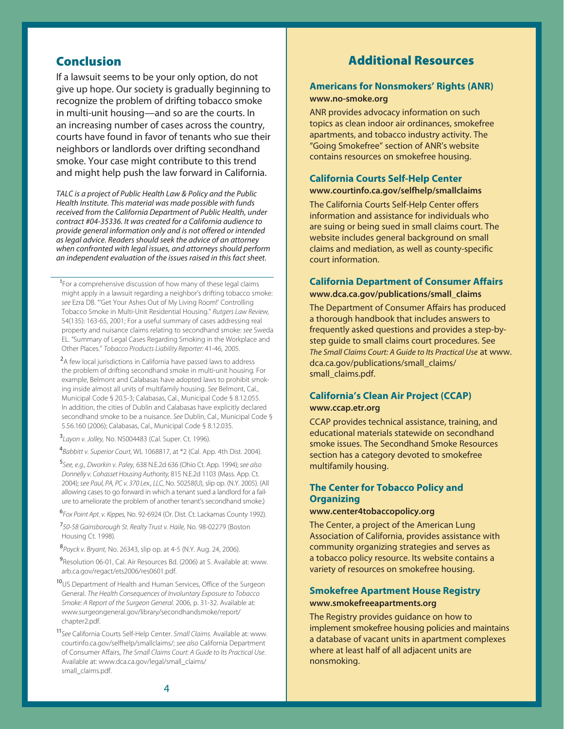## Conclusion

If a lawsuit seems to be your only option, do not give up hope. Our society is gradually beginning to recognize the problem of drifting tobacco smoke in multi-unit housing—and so are the courts. In an increasing number of cases across the country, courts have found in favor of tenants who sue their neighbors or landlords over drifting secondhand smoke. Your case might contribute to this trend and might help push the law forward in California.

TALC is a project of Public Health Law & Policy and the Public Health Institute. This material was made possible with funds received from the California Department of Public Health, under contract #04-35336. It was created for a California audience to provide general information only and is not offered or intended as legal advice. Readers should seek the advice of an attorney when confronted with legal issues, and attorneys should perform an independent evaluation of the issues raised in this fact sheet.

<sup>1</sup> For a comprehensive discussion of how many of these legal claims might apply in a lawsuit regarding a neighbor's drifting tobacco smoke: see Ezra DB. "'Get Your Ashes Out of My Living Room!' Controlling Tobacco Smoke in Multi-Unit Residential Housing." Rutgers Law Review, 54(135): 163-65, 2001; For a useful summary of cases addressing real property and nuisance claims relating to secondhand smoke: see Sweda EL. "Summary of Legal Cases Regarding Smoking in the Workplace and Other Places." Tobacco Products Liability Reporter: 41-46, 2005.

<sup>2</sup>A few local jurisdictions in California have passed laws to address the problem of drifting secondhand smoke in multi-unit housing. For example, Belmont and Calabasas have adopted laws to prohibit smoking inside almost all units of multifamily housing. See Belmont, Cal., Municipal Code § 20.5-3; Calabasas, Cal., Municipal Code § 8.12.055. In addition, the cities of Dublin and Calabasas have explicitly declared secondhand smoke to be a nuisance. See Dublin, Cal., Municipal Code § 5.56.160 (2006); Calabasas, Cal., Municipal Code § 8.12.035.

<sup>3</sup>Layon v. Jolley, No. NS004483 (Cal. Super. Ct. 1996).

4 Babbitt v. Superior Court, WL 1068817, at \*2 (Cal. App. 4th Dist. 2004).

<sup>5</sup>See, e.g., Dworkin v. Paley, 638 N.E.2d 636 (Ohio Ct. App. 1994); see also Donnelly v. Cohasset Housing Authority, 815 N.E.2d 1103 (Mass. App. Ct. 2004); see Paul, PA, PC v. 370 Lex., LLC, No. 50258(U), slip op. (N.Y. 2005). (All allowing cases to go forward in which a tenant sued a landlord for a failure to ameliorate the problem of another tenant's secondhand smoke.)

<sup>6</sup>Fox Point Apt. v. Kippes, No. 92-6924 (Or. Dist. Ct. Lackamas County 1992).

<sup>7</sup>50-58 Gainsborough St. Realty Trust v. Haile, No. 98-02279 (Boston Housing Ct. 1998).

<sup>8</sup>Poyck v. Bryant, No. 26343, slip op. at 4-5 (N.Y. Aug. 24, 2006).

<sup>9</sup>Resolution 06-01, Cal. Air Resources Bd. (2006) at 5. Available at: www. arb.ca.gov/regact/ets2006/res0601.pdf.

10 US Department of Health and Human Services, Office of the Surgeon General. The Health Consequences of Involuntary Exposure to Tobacco Smoke: A Report of the Surgeon General. 2006, p. 31-32. Available at: www.surgeongeneral.gov/library/secondhandsmoke/report/ chapter2.pdf.

11 See California Courts Self-Help Center. Small Claims. Available at: www. courtinfo.ca.gov/selfhelp/smallclaims/; see also California Department of Consumer Affairs, The Small Claims Court: A Guide to Its Practical Use. Available at: www.dca.ca.gov/legal/small\_claims/ small\_claims.pdf.

## Additional Resources

#### **Americans for Nonsmokers' Rights (ANR) www.no-smoke.org**

ANR provides advocacy information on such topics as clean indoor air ordinances, smokefree apartments, and tobacco industry activity. The "Going Smokefree" section of ANR's website contains resources on smokefree housing.

## **California Courts Self-Help Center www.courtinfo.ca.gov/selfhelp/smallclaims**

The California Courts Self-Help Center offers information and assistance for individuals who are suing or being sued in small claims court. The website includes general background on small claims and mediation, as well as county-specific court information.

#### **California Department of Consumer Affairs www.dca.ca.gov/publications/small\_claims**

The Department of Consumer Affairs has produced a thorough handbook that includes answers to frequently asked questions and provides a step-bystep guide to small claims court procedures. See The Small Claims Court: A Guide to Its Practical Use at www. dca.ca.gov/publications/small\_claims/ small\_claims.pdf.

#### **California's Clean Air Project (CCAP)**

#### **www.ccap.etr.org**

CCAP provides technical assistance, training, and educational materials statewide on secondhand smoke issues. The Secondhand Smoke Resources section has a category devoted to smokefree multifamily housing.

#### **The Center for Tobacco Policy and Organizing**

#### **www.center4tobaccopolicy.org**

The Center, a project of the American Lung Association of California, provides assistance with community organizing strategies and serves as a tobacco policy resource. Its website contains a variety of resources on smokefree housing.

#### **Smokefree Apartment House Registry www.smokefreeapartments.org**

The Registry provides guidance on how to implement smokefree housing policies and maintains a database of vacant units in apartment complexes where at least half of all adjacent units are nonsmoking.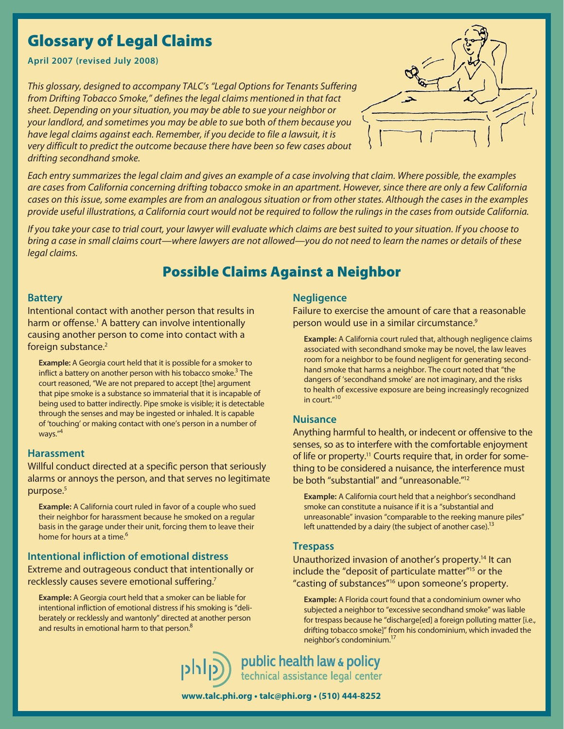# Glossary of Legal Claims

**April 2007 (revised July 2008)**

This glossary, designed to accompany TALC's "Legal Options for Tenants Suffering from Drifting Tobacco Smoke," defines the legal claims mentioned in that fact sheet. Depending on your situation, you may be able to sue your neighbor or your landlord, and sometimes you may be able to sue both of them because you have legal claims against each. Remember, if you decide to file a lawsuit, it is very difficult to predict the outcome because there have been so few cases about drifting secondhand smoke.



Each entry summarizes the legal claim and gives an example of a case involving that claim. Where possible, the examples are cases from California concerning drifting tobacco smoke in an apartment. However, since there are only a few California cases on this issue, some examples are from an analogous situation or from other states. Although the cases in the examples provide useful illustrations, a California court would not be required to follow the rulings in the cases from outside California.

If you take your case to trial court, your lawyer will evaluate which claims are best suited to your situation. If you choose to bring a case in small claims court—where lawyers are not allowed—you do not need to learn the names or details of these legal claims.

## Possible Claims Against a Neighbor

#### **Battery**

Intentional contact with another person that results in harm or offense.<sup>1</sup> A battery can involve intentionally causing another person to come into contact with a foreign substance.<sup>2</sup>

**Example:** A Georgia court held that it is possible for a smoker to inflict a battery on another person with his tobacco smoke.<sup>3</sup> The court reasoned, "We are not prepared to accept [the] argument that pipe smoke is a substance so immaterial that it is incapable of being used to batter indirectly. Pipe smoke is visible; it is detectable through the senses and may be ingested or inhaled. It is capable of 'touching' or making contact with one's person in a number of ways."<sup>4</sup>

#### **Harassment**

Willful conduct directed at a specific person that seriously alarms or annoys the person, and that serves no legitimate purpose.<sup>5</sup>

**Example:** A California court ruled in favor of a couple who sued their neighbor for harassment because he smoked on a regular basis in the garage under their unit, forcing them to leave their home for hours at a time.<sup>6</sup>

## **Intentional infliction of emotional distress**

Extreme and outrageous conduct that intentionally or recklessly causes severe emotional suffering.<sup>7</sup>

**Example:** A Georgia court held that a smoker can be liable for intentional infliction of emotional distress if his smoking is "deliberately or recklessly and wantonly" directed at another person and results in emotional harm to that person.<sup>8</sup>

#### **Negligence**

Failure to exercise the amount of care that a reasonable person would use in a similar circumstance.<sup>9</sup>

**Example:** A California court ruled that, although negligence claims associated with secondhand smoke may be novel, the law leaves room for a neighbor to be found negligent for generating secondhand smoke that harms a neighbor. The court noted that "the dangers of 'secondhand smoke' are not imaginary, and the risks to health of excessive exposure are being increasingly recognized in court  $^{\prime\prime}$ <sup>10</sup>

#### **Nuisance**

Anything harmful to health, or indecent or offensive to the senses, so as to interfere with the comfortable enjoyment of life or property.<sup>11</sup> Courts require that, in order for something to be considered a nuisance, the interference must be both "substantial" and "unreasonable."12

**Example:** A California court held that a neighbor's secondhand smoke can constitute a nuisance if it is a "substantial and unreasonable" invasion "comparable to the reeking manure piles" left unattended by a dairy (the subject of another case).<sup>13</sup>

#### **Trespass**

Unauthorized invasion of another's property.<sup>14</sup> It can include the "deposit of particulate matter"15 or the "casting of substances"16 upon someone's property.

**Example:** A Florida court found that a condominium owner who subjected a neighbor to "excessive secondhand smoke" was liable for trespass because he "discharge[ed] a foreign polluting matter [i.e., drifting tobacco smoke]" from his condominium, which invaded the neighbor's condominium.17

public health law & policy technical assistance legal center

**www.talc.phi.org • talc@phi.org • (510) 444-8252**